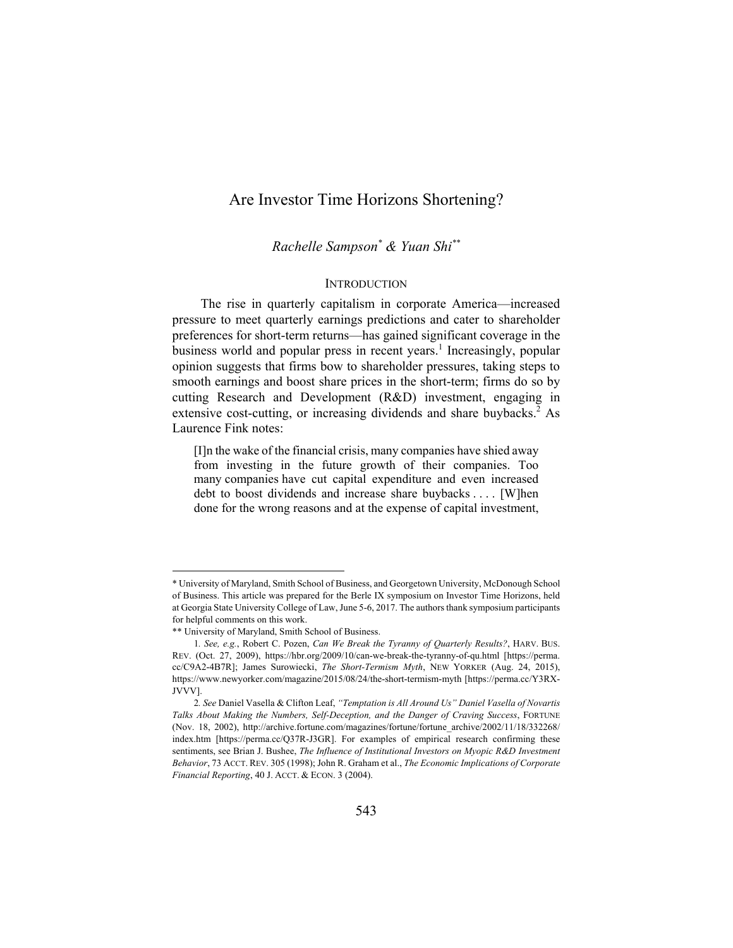# Are Investor Time Horizons Shortening?

*Rachelle Sampson\* & Yuan Shi\*\**

# **INTRODUCTION**

The rise in quarterly capitalism in corporate America—increased pressure to meet quarterly earnings predictions and cater to shareholder preferences for short-term returns—has gained significant coverage in the business world and popular press in recent years.<sup>1</sup> Increasingly, popular opinion suggests that firms bow to shareholder pressures, taking steps to smooth earnings and boost share prices in the short-term; firms do so by cutting Research and Development (R&D) investment, engaging in extensive cost-cutting, or increasing dividends and share buybacks.<sup>2</sup> As Laurence Fink notes:

[I]n the wake of the financial crisis, many companies have shied away from investing in the future growth of their companies. Too many companies have cut capital expenditure and even increased debt to boost dividends and increase share buybacks . . . . [W]hen done for the wrong reasons and at the expense of capital investment,

l

<sup>\*</sup> University of Maryland, Smith School of Business, and Georgetown University, McDonough School of Business. This article was prepared for the Berle IX symposium on Investor Time Horizons, held at Georgia State University College of Law, June 5-6, 2017. The authors thank symposium participants for helpful comments on this work.

<sup>\*\*</sup> University of Maryland, Smith School of Business.

<sup>1</sup>*. See, e.g.*, Robert C. Pozen, *Can We Break the Tyranny of Quarterly Results?*, HARV. BUS. REV. (Oct. 27, 2009), https://hbr.org/2009/10/can-we-break-the-tyranny-of-qu.html [https://perma. cc/C9A2-4B7R]; James Surowiecki, *The Short-Termism Myth*, NEW YORKER (Aug. 24, 2015), https://www.newyorker.com/magazine/2015/08/24/the-short-termism-myth [https://perma.cc/Y3RX-JVVV].

<sup>2</sup>*. See* Daniel Vasella & Clifton Leaf, *"Temptation is All Around Us" Daniel Vasella of Novartis Talks About Making the Numbers, Self-Deception, and the Danger of Craving Success*, FORTUNE (Nov. 18, 2002), http://archive.fortune.com/magazines/fortune/fortune\_archive/2002/11/18/332268/ index.htm [https://perma.cc/Q37R-J3GR]. For examples of empirical research confirming these sentiments, see Brian J. Bushee, *The Influence of Institutional Investors on Myopic R&D Investment Behavior*, 73 ACCT. REV. 305 (1998); John R. Graham et al., *The Economic Implications of Corporate Financial Reporting*, 40 J. ACCT. & ECON. 3 (2004).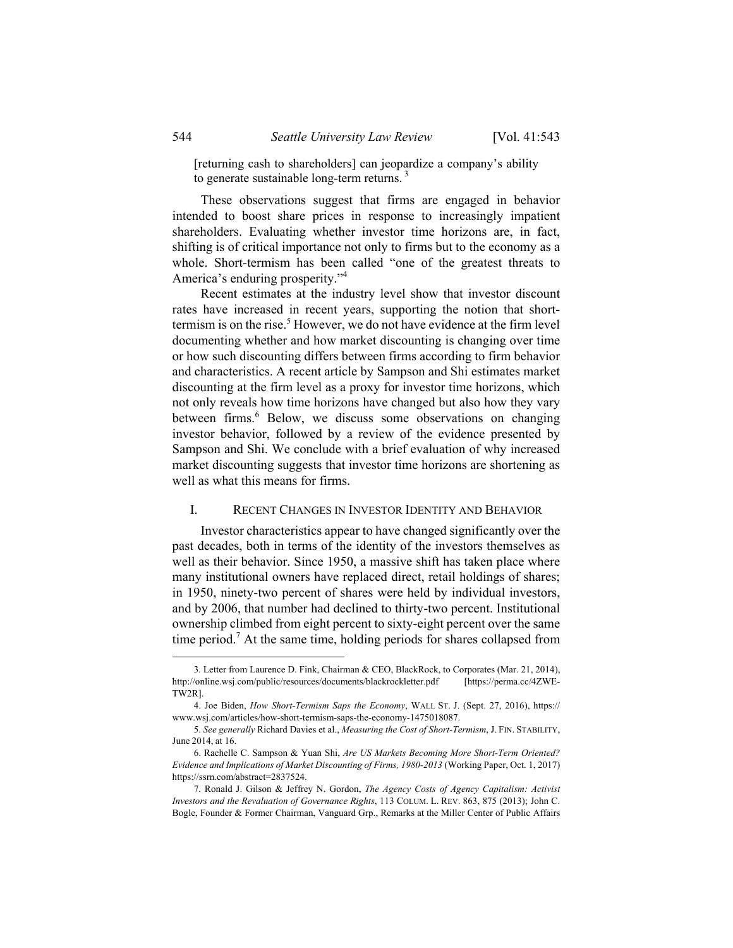[returning cash to shareholders] can jeopardize a company's ability to generate sustainable long-term returns.<sup>3</sup>

These observations suggest that firms are engaged in behavior intended to boost share prices in response to increasingly impatient shareholders. Evaluating whether investor time horizons are, in fact, shifting is of critical importance not only to firms but to the economy as a whole. Short-termism has been called "one of the greatest threats to America's enduring prosperity."4

Recent estimates at the industry level show that investor discount rates have increased in recent years, supporting the notion that shorttermism is on the rise.<sup>5</sup> However, we do not have evidence at the firm level documenting whether and how market discounting is changing over time or how such discounting differs between firms according to firm behavior and characteristics. A recent article by Sampson and Shi estimates market discounting at the firm level as a proxy for investor time horizons, which not only reveals how time horizons have changed but also how they vary between firms.<sup>6</sup> Below, we discuss some observations on changing investor behavior, followed by a review of the evidence presented by Sampson and Shi. We conclude with a brief evaluation of why increased market discounting suggests that investor time horizons are shortening as well as what this means for firms.

### I. RECENT CHANGES IN INVESTOR IDENTITY AND BEHAVIOR

Investor characteristics appear to have changed significantly over the past decades, both in terms of the identity of the investors themselves as well as their behavior. Since 1950, a massive shift has taken place where many institutional owners have replaced direct, retail holdings of shares; in 1950, ninety-two percent of shares were held by individual investors, and by 2006, that number had declined to thirty-two percent. Institutional ownership climbed from eight percent to sixty-eight percent over the same time period.<sup>7</sup> At the same time, holding periods for shares collapsed from

 <sup>3</sup>*.* Letter from Laurence D. Fink, Chairman & CEO, BlackRock, to Corporates (Mar. 21, 2014), http://online.wsj.com/public/resources/documents/blackrockletter.pdf [https://perma.cc/4ZWE-TW2R].

 <sup>4.</sup> Joe Biden, *How Short-Termism Saps the Economy*, WALL ST. J. (Sept. 27, 2016), https:// www.wsj.com/articles/how-short-termism-saps-the-economy-1475018087.

 <sup>5.</sup> *See generally* Richard Davies et al., *Measuring the Cost of Short-Termism*, J. FIN. STABILITY, June 2014, at 16.

 <sup>6.</sup> Rachelle C. Sampson & Yuan Shi, *Are US Markets Becoming More Short-Term Oriented? Evidence and Implications of Market Discounting of Firms, 1980-2013* (Working Paper, Oct. 1, 2017) https://ssrn.com/abstract=2837524.

 <sup>7.</sup> Ronald J. Gilson & Jeffrey N. Gordon, *The Agency Costs of Agency Capitalism: Activist Investors and the Revaluation of Governance Rights*, 113 COLUM. L. REV. 863, 875 (2013); John C. Bogle, Founder & Former Chairman, Vanguard Grp., Remarks at the Miller Center of Public Affairs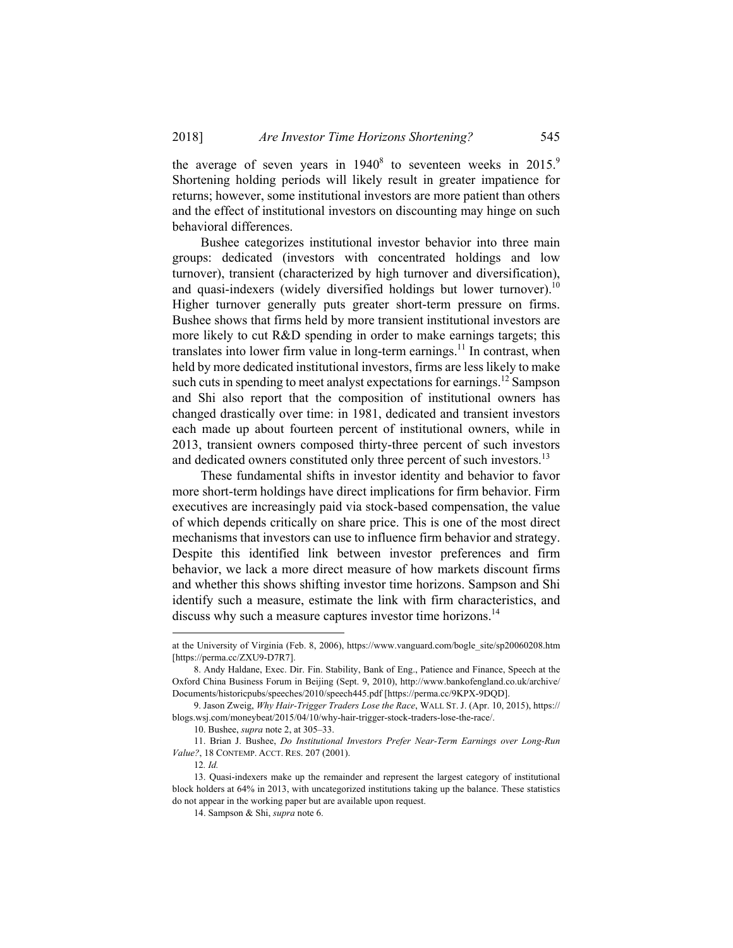the average of seven years in  $1940<sup>8</sup>$  to seventeen weeks in  $2015<sup>9</sup>$ Shortening holding periods will likely result in greater impatience for returns; however, some institutional investors are more patient than others and the effect of institutional investors on discounting may hinge on such behavioral differences.

Bushee categorizes institutional investor behavior into three main groups: dedicated (investors with concentrated holdings and low turnover), transient (characterized by high turnover and diversification), and quasi-indexers (widely diversified holdings but lower turnover).<sup>10</sup> Higher turnover generally puts greater short-term pressure on firms. Bushee shows that firms held by more transient institutional investors are more likely to cut R&D spending in order to make earnings targets; this translates into lower firm value in long-term earnings.<sup>11</sup> In contrast, when held by more dedicated institutional investors, firms are less likely to make such cuts in spending to meet analyst expectations for earnings.<sup>12</sup> Sampson and Shi also report that the composition of institutional owners has changed drastically over time: in 1981, dedicated and transient investors each made up about fourteen percent of institutional owners, while in 2013, transient owners composed thirty-three percent of such investors and dedicated owners constituted only three percent of such investors.<sup>13</sup>

These fundamental shifts in investor identity and behavior to favor more short-term holdings have direct implications for firm behavior. Firm executives are increasingly paid via stock-based compensation, the value of which depends critically on share price. This is one of the most direct mechanisms that investors can use to influence firm behavior and strategy. Despite this identified link between investor preferences and firm behavior, we lack a more direct measure of how markets discount firms and whether this shows shifting investor time horizons. Sampson and Shi identify such a measure, estimate the link with firm characteristics, and discuss why such a measure captures investor time horizons.<sup>14</sup>

10. Bushee, *supra* note 2, at 305–33.

 11. Brian J. Bushee, *Do Institutional Investors Prefer Near-Term Earnings over Long-Run Value?*, 18 CONTEMP. ACCT. RES. 207 (2001).

12*. Id.*

1

at the University of Virginia (Feb. 8, 2006), https://www.vanguard.com/bogle\_site/sp20060208.htm [https://perma.cc/ZXU9-D7R7].

 <sup>8.</sup> Andy Haldane, Exec. Dir. Fin. Stability, Bank of Eng., Patience and Finance, Speech at the Oxford China Business Forum in Beijing (Sept. 9, 2010), http://www.bankofengland.co.uk/archive/ Documents/historicpubs/speeches/2010/speech445.pdf [https://perma.cc/9KPX-9DQD].

 <sup>9.</sup> Jason Zweig, *Why Hair-Trigger Traders Lose the Race*, WALL ST. J. (Apr. 10, 2015), https:// blogs.wsj.com/moneybeat/2015/04/10/why-hair-trigger-stock-traders-lose-the-race/.

 <sup>13.</sup> Quasi-indexers make up the remainder and represent the largest category of institutional block holders at 64% in 2013, with uncategorized institutions taking up the balance. These statistics do not appear in the working paper but are available upon request.

 <sup>14.</sup> Sampson & Shi, *supra* note 6.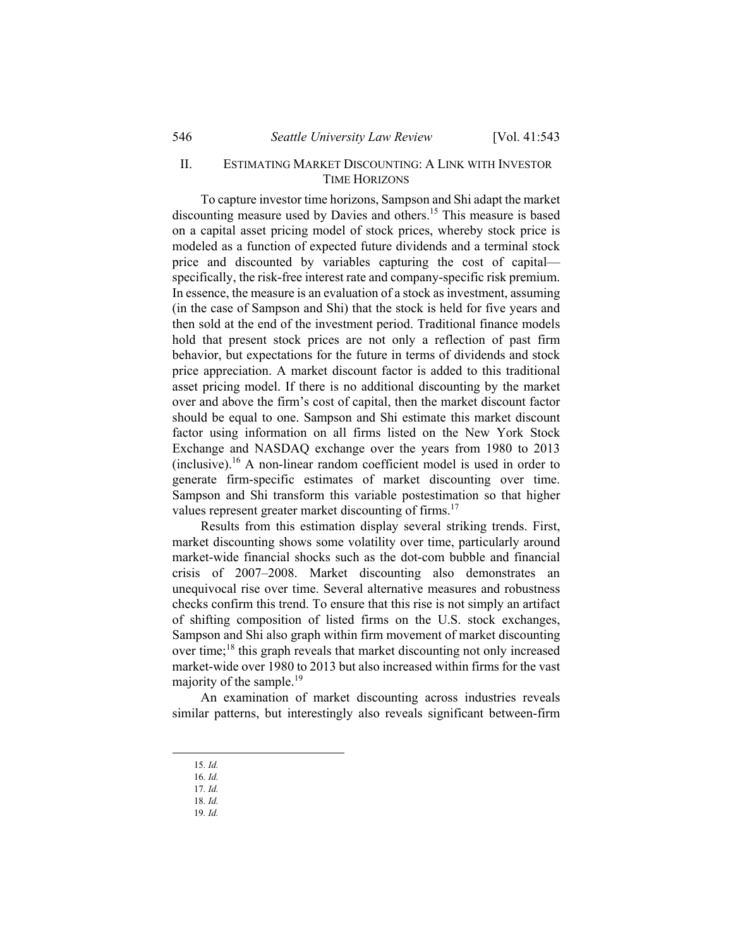# II. ESTIMATING MARKET DISCOUNTING: A LINK WITH INVESTOR TIME HORIZONS

To capture investor time horizons, Sampson and Shi adapt the market discounting measure used by Davies and others.15 This measure is based on a capital asset pricing model of stock prices, whereby stock price is modeled as a function of expected future dividends and a terminal stock price and discounted by variables capturing the cost of capital specifically, the risk-free interest rate and company-specific risk premium. In essence, the measure is an evaluation of a stock as investment, assuming (in the case of Sampson and Shi) that the stock is held for five years and then sold at the end of the investment period. Traditional finance models hold that present stock prices are not only a reflection of past firm behavior, but expectations for the future in terms of dividends and stock price appreciation. A market discount factor is added to this traditional asset pricing model. If there is no additional discounting by the market over and above the firm's cost of capital, then the market discount factor should be equal to one. Sampson and Shi estimate this market discount factor using information on all firms listed on the New York Stock Exchange and NASDAQ exchange over the years from 1980 to 2013  $(inclusive).$ <sup>16</sup> A non-linear random coefficient model is used in order to generate firm-specific estimates of market discounting over time. Sampson and Shi transform this variable postestimation so that higher values represent greater market discounting of firms.<sup>17</sup>

Results from this estimation display several striking trends. First, market discounting shows some volatility over time, particularly around market-wide financial shocks such as the dot-com bubble and financial crisis of 2007–2008. Market discounting also demonstrates an unequivocal rise over time. Several alternative measures and robustness checks confirm this trend. To ensure that this rise is not simply an artifact of shifting composition of listed firms on the U.S. stock exchanges, Sampson and Shi also graph within firm movement of market discounting over time;18 this graph reveals that market discounting not only increased market-wide over 1980 to 2013 but also increased within firms for the vast majority of the sample.<sup>19</sup>

An examination of market discounting across industries reveals similar patterns, but interestingly also reveals significant between-firm

- 17*. Id.*
- 18*. Id.*

 <sup>15</sup>*. Id.* 

<sup>16</sup>*. Id.*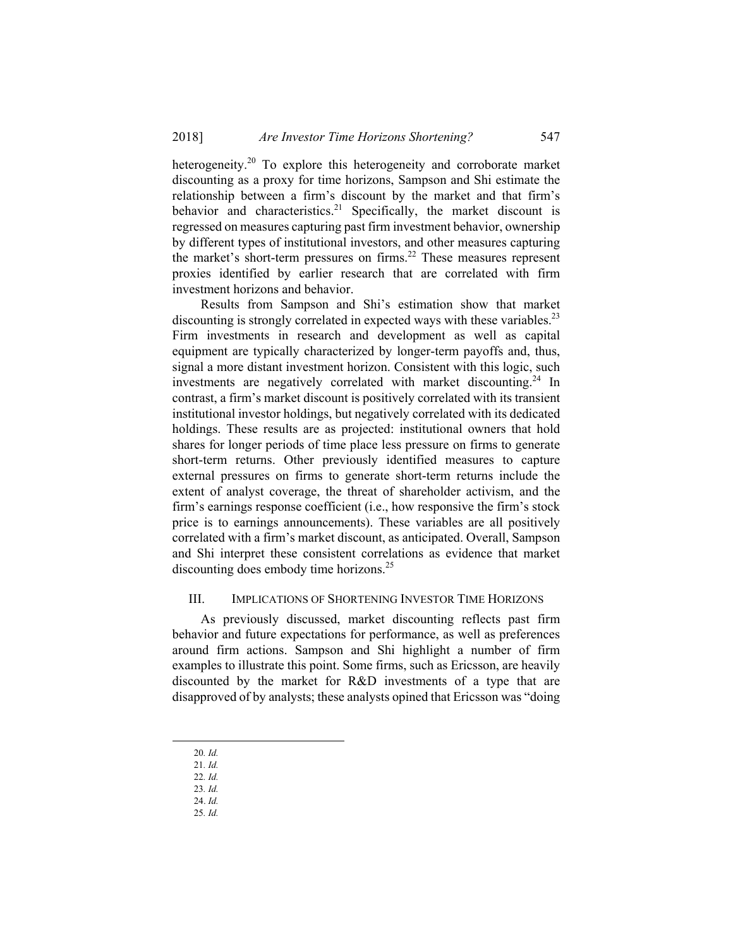heterogeneity.<sup>20</sup> To explore this heterogeneity and corroborate market discounting as a proxy for time horizons, Sampson and Shi estimate the relationship between a firm's discount by the market and that firm's behavior and characteristics.<sup>21</sup> Specifically, the market discount is regressed on measures capturing past firm investment behavior, ownership by different types of institutional investors, and other measures capturing the market's short-term pressures on firms.<sup>22</sup> These measures represent proxies identified by earlier research that are correlated with firm investment horizons and behavior.

Results from Sampson and Shi's estimation show that market discounting is strongly correlated in expected ways with these variables.<sup>23</sup> Firm investments in research and development as well as capital equipment are typically characterized by longer-term payoffs and, thus, signal a more distant investment horizon. Consistent with this logic, such investments are negatively correlated with market discounting.<sup>24</sup> In contrast, a firm's market discount is positively correlated with its transient institutional investor holdings, but negatively correlated with its dedicated holdings. These results are as projected: institutional owners that hold shares for longer periods of time place less pressure on firms to generate short-term returns. Other previously identified measures to capture external pressures on firms to generate short-term returns include the extent of analyst coverage, the threat of shareholder activism, and the firm's earnings response coefficient (i.e., how responsive the firm's stock price is to earnings announcements). These variables are all positively correlated with a firm's market discount, as anticipated. Overall, Sampson and Shi interpret these consistent correlations as evidence that market discounting does embody time horizons.<sup>25</sup>

# III. IMPLICATIONS OF SHORTENING INVESTOR TIME HORIZONS

As previously discussed, market discounting reflects past firm behavior and future expectations for performance, as well as preferences around firm actions. Sampson and Shi highlight a number of firm examples to illustrate this point. Some firms, such as Ericsson, are heavily discounted by the market for R&D investments of a type that are disapproved of by analysts; these analysts opined that Ericsson was "doing

25*. Id.*

 <sup>20</sup>*. Id.*

<sup>21</sup>*. Id.*

<sup>22</sup>*. Id.*

<sup>23</sup>*. Id.* 24. *Id.*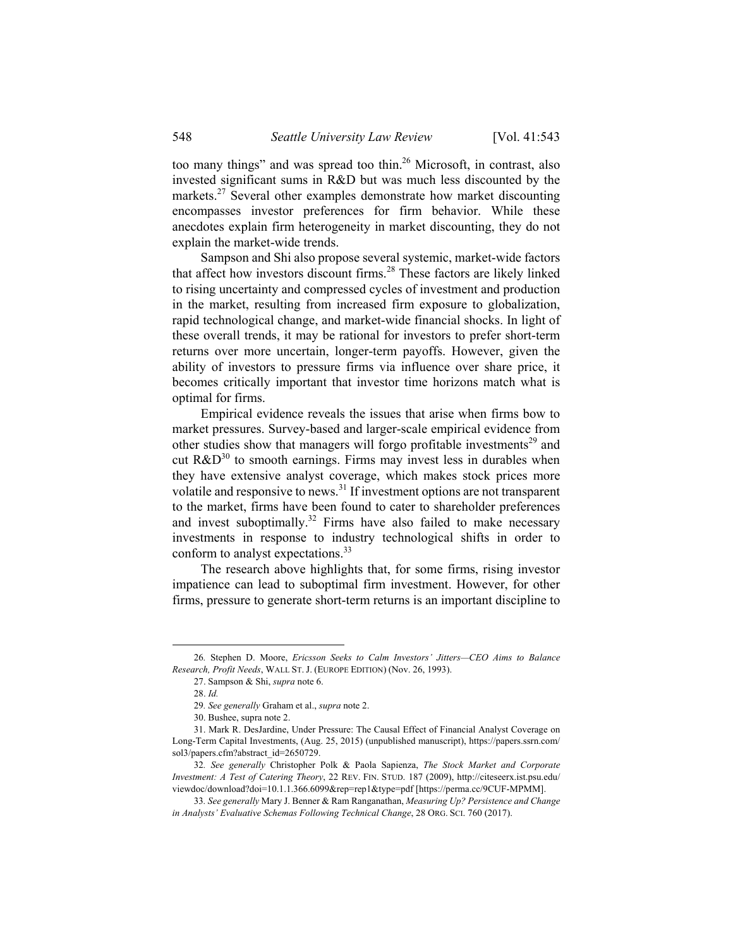too many things" and was spread too thin.<sup>26</sup> Microsoft, in contrast, also invested significant sums in R&D but was much less discounted by the markets.<sup>27</sup> Several other examples demonstrate how market discounting encompasses investor preferences for firm behavior. While these anecdotes explain firm heterogeneity in market discounting, they do not explain the market-wide trends.

Sampson and Shi also propose several systemic, market-wide factors that affect how investors discount firms.28 These factors are likely linked to rising uncertainty and compressed cycles of investment and production in the market, resulting from increased firm exposure to globalization, rapid technological change, and market-wide financial shocks. In light of these overall trends, it may be rational for investors to prefer short-term returns over more uncertain, longer-term payoffs. However, given the ability of investors to pressure firms via influence over share price, it becomes critically important that investor time horizons match what is optimal for firms.

Empirical evidence reveals the issues that arise when firms bow to market pressures. Survey-based and larger-scale empirical evidence from other studies show that managers will forgo profitable investments<sup>29</sup> and cut  $R&D^{30}$  to smooth earnings. Firms may invest less in durables when they have extensive analyst coverage, which makes stock prices more volatile and responsive to news.31 If investment options are not transparent to the market, firms have been found to cater to shareholder preferences and invest suboptimally.<sup>32</sup> Firms have also failed to make necessary investments in response to industry technological shifts in order to conform to analyst expectations.<sup>33</sup>

The research above highlights that, for some firms, rising investor impatience can lead to suboptimal firm investment. However, for other firms, pressure to generate short-term returns is an important discipline to

 <sup>26</sup>*.* Stephen D. Moore, *Ericsson Seeks to Calm Investors' Jitters—CEO Aims to Balance Research, Profit Needs*, WALL ST. J. (EUROPE EDITION) (Nov. 26, 1993).

 <sup>27.</sup> Sampson & Shi, *supra* note 6.

 <sup>28.</sup> *Id.*

<sup>29</sup>*. See generally* Graham et al., *supra* note 2.

 <sup>30.</sup> Bushee, supra note 2.

 <sup>31.</sup> Mark R. DesJardine, Under Pressure: The Causal Effect of Financial Analyst Coverage on Long-Term Capital Investments, (Aug. 25, 2015) (unpublished manuscript), https://papers.ssrn.com/ sol3/papers.cfm?abstract\_id=2650729.

<sup>32</sup>*. See generally* Christopher Polk & Paola Sapienza, *The Stock Market and Corporate Investment: A Test of Catering Theory*, 22 REV. FIN. STUD. 187 (2009), http://citeseerx.ist.psu.edu/ viewdoc/download?doi=10.1.1.366.6099&rep=rep1&type=pdf [https://perma.cc/9CUF-MPMM].

<sup>33</sup>*. See generally* Mary J. Benner & Ram Ranganathan, *Measuring Up? Persistence and Change in Analysts' Evaluative Schemas Following Technical Change*, 28 ORG. SCI. 760 (2017).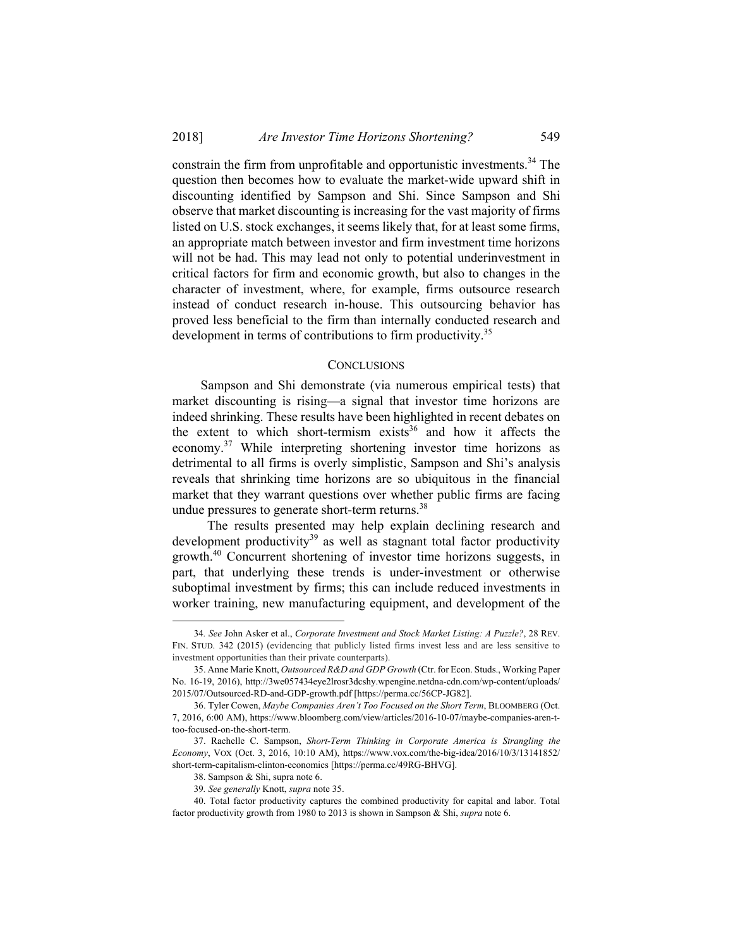constrain the firm from unprofitable and opportunistic investments.<sup>34</sup> The question then becomes how to evaluate the market-wide upward shift in discounting identified by Sampson and Shi. Since Sampson and Shi observe that market discounting is increasing for the vast majority of firms listed on U.S. stock exchanges, it seems likely that, for at least some firms, an appropriate match between investor and firm investment time horizons will not be had. This may lead not only to potential underinvestment in critical factors for firm and economic growth, but also to changes in the character of investment, where, for example, firms outsource research instead of conduct research in-house. This outsourcing behavior has proved less beneficial to the firm than internally conducted research and development in terms of contributions to firm productivity.<sup>35</sup>

#### **CONCLUSIONS**

Sampson and Shi demonstrate (via numerous empirical tests) that market discounting is rising—a signal that investor time horizons are indeed shrinking. These results have been highlighted in recent debates on the extent to which short-termism exists $36$  and how it affects the economy.37 While interpreting shortening investor time horizons as detrimental to all firms is overly simplistic, Sampson and Shi's analysis reveals that shrinking time horizons are so ubiquitous in the financial market that they warrant questions over whether public firms are facing undue pressures to generate short-term returns.<sup>38</sup>

 The results presented may help explain declining research and development productivity<sup>39</sup> as well as stagnant total factor productivity growth.40 Concurrent shortening of investor time horizons suggests, in part, that underlying these trends is under-investment or otherwise suboptimal investment by firms; this can include reduced investments in worker training, new manufacturing equipment, and development of the

 <sup>34</sup>*. See* John Asker et al., *Corporate Investment and Stock Market Listing: A Puzzle?*, 28 REV. FIN. STUD. 342 (2015) (evidencing that publicly listed firms invest less and are less sensitive to investment opportunities than their private counterparts).

 <sup>35.</sup> Anne Marie Knott, *Outsourced R&D and GDP Growth* (Ctr. for Econ. Studs., Working Paper No. 16-19, 2016), http://3we057434eye2lrosr3dcshy.wpengine.netdna-cdn.com/wp-content/uploads/ 2015/07/Outsourced-RD-and-GDP-growth.pdf [https://perma.cc/56CP-JG82].

 <sup>36.</sup> Tyler Cowen, *Maybe Companies Aren't Too Focused on the Short Term*, BLOOMBERG (Oct. 7, 2016, 6:00 AM), https://www.bloomberg.com/view/articles/2016-10-07/maybe-companies-aren-ttoo-focused-on-the-short-term.

 <sup>37.</sup> Rachelle C. Sampson, *Short-Term Thinking in Corporate America is Strangling the Economy*, VOX (Oct. 3, 2016, 10:10 AM), https://www.vox.com/the-big-idea/2016/10/3/13141852/ short-term-capitalism-clinton-economics [https://perma.cc/49RG-BHVG].

 <sup>38.</sup> Sampson & Shi, supra note 6.

<sup>39</sup>*. See generally* Knott, *supra* note 35.

 <sup>40.</sup> Total factor productivity captures the combined productivity for capital and labor. Total factor productivity growth from 1980 to 2013 is shown in Sampson & Shi, *supra* note 6.